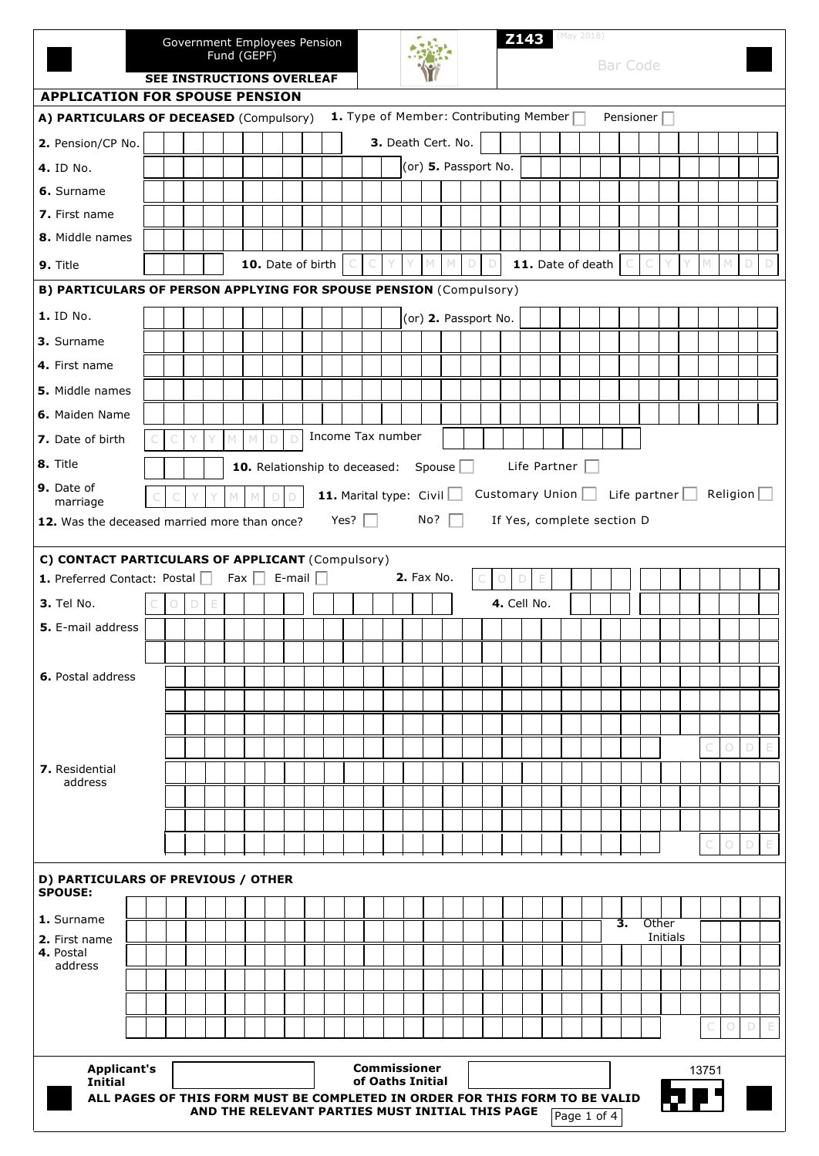|                                                                          | Government Employees Pension<br>Fund (GEPF)<br>SEE INSTRUCTIONS OVERLEAF                                                                      |  |  |   |   |   |             |  | <b>Z143</b> (May 2018)   |  |  |      |                   |  |  |                                       |  |                                        | <b>Bar Code</b> |  |                 |  |  |                            |  |    |                  |                     |  |   |                 |        |             |
|--------------------------------------------------------------------------|-----------------------------------------------------------------------------------------------------------------------------------------------|--|--|---|---|---|-------------|--|--------------------------|--|--|------|-------------------|--|--|---------------------------------------|--|----------------------------------------|-----------------|--|-----------------|--|--|----------------------------|--|----|------------------|---------------------|--|---|-----------------|--------|-------------|
| <b>APPLICATION FOR SPOUSE PENSION</b>                                    |                                                                                                                                               |  |  |   |   |   |             |  |                          |  |  |      |                   |  |  |                                       |  |                                        |                 |  |                 |  |  |                            |  |    |                  |                     |  |   |                 |        |             |
| A) PARTICULARS OF DECEASED (Compulsory)                                  |                                                                                                                                               |  |  |   |   |   |             |  |                          |  |  |      |                   |  |  |                                       |  | 1. Type of Member: Contributing Member |                 |  |                 |  |  |                            |  |    | Pensioner $\Box$ |                     |  |   |                 |        |             |
| 2. Pension/CP No.                                                        |                                                                                                                                               |  |  |   |   |   |             |  |                          |  |  |      |                   |  |  | 3. Death Cert. No.                    |  |                                        |                 |  |                 |  |  |                            |  |    |                  |                     |  |   |                 |        |             |
| 4. ID No.                                                                |                                                                                                                                               |  |  |   |   |   |             |  |                          |  |  |      |                   |  |  |                                       |  | (or) 5. Passport No.                   |                 |  |                 |  |  |                            |  |    |                  |                     |  |   |                 |        |             |
| 6. Surname                                                               |                                                                                                                                               |  |  |   |   |   |             |  |                          |  |  |      |                   |  |  |                                       |  |                                        |                 |  |                 |  |  |                            |  |    |                  |                     |  |   |                 |        |             |
| 7. First name                                                            |                                                                                                                                               |  |  |   |   |   |             |  |                          |  |  |      |                   |  |  |                                       |  |                                        |                 |  |                 |  |  |                            |  |    |                  |                     |  |   |                 |        |             |
| 8. Middle names                                                          |                                                                                                                                               |  |  |   |   |   |             |  |                          |  |  |      |                   |  |  |                                       |  |                                        |                 |  |                 |  |  |                            |  |    |                  |                     |  |   |                 |        |             |
| 9. Title                                                                 |                                                                                                                                               |  |  |   |   |   |             |  | 10. Date of birth        |  |  |      |                   |  |  |                                       |  |                                        | D               |  |                 |  |  | 11. Date of death          |  |    |                  |                     |  | M | $\mathbb{M}$    | D      | $\Box$      |
| <b>B) PARTICULARS OF PERSON APPLYING FOR SPOUSE PENSION (Compulsory)</b> |                                                                                                                                               |  |  |   |   |   |             |  |                          |  |  |      |                   |  |  |                                       |  |                                        |                 |  |                 |  |  |                            |  |    |                  |                     |  |   |                 |        |             |
| 1. ID No.                                                                |                                                                                                                                               |  |  |   |   |   |             |  |                          |  |  |      |                   |  |  |                                       |  | (or) 2. Passport No.                   |                 |  |                 |  |  |                            |  |    |                  |                     |  |   |                 |        |             |
| 3. Surname                                                               |                                                                                                                                               |  |  |   |   |   |             |  |                          |  |  |      |                   |  |  |                                       |  |                                        |                 |  |                 |  |  |                            |  |    |                  |                     |  |   |                 |        |             |
| 4. First name                                                            |                                                                                                                                               |  |  |   |   |   |             |  |                          |  |  |      |                   |  |  |                                       |  |                                        |                 |  |                 |  |  |                            |  |    |                  |                     |  |   |                 |        |             |
| <b>5.</b> Middle names                                                   |                                                                                                                                               |  |  |   |   |   |             |  |                          |  |  |      |                   |  |  |                                       |  |                                        |                 |  |                 |  |  |                            |  |    |                  |                     |  |   |                 |        |             |
| 6. Maiden Name                                                           |                                                                                                                                               |  |  |   |   |   |             |  |                          |  |  |      |                   |  |  |                                       |  |                                        |                 |  |                 |  |  |                            |  |    |                  |                     |  |   |                 |        |             |
| 7. Date of birth                                                         |                                                                                                                                               |  |  |   |   | M | $\mathbb N$ |  |                          |  |  |      | Income Tax number |  |  |                                       |  |                                        |                 |  |                 |  |  |                            |  |    |                  |                     |  |   |                 |        |             |
| 8. Title                                                                 | Life Partner<br>10. Relationship to deceased:<br>Spouse                                                                                       |  |  |   |   |   |             |  |                          |  |  |      |                   |  |  |                                       |  |                                        |                 |  |                 |  |  |                            |  |    |                  |                     |  |   |                 |        |             |
| 9. Date of                                                               |                                                                                                                                               |  |  |   |   |   |             |  |                          |  |  |      |                   |  |  |                                       |  |                                        |                 |  |                 |  |  |                            |  |    |                  |                     |  |   |                 |        |             |
| marriage                                                                 |                                                                                                                                               |  |  |   |   |   |             |  |                          |  |  |      |                   |  |  | <b>11.</b> Marital type: Civil $\Box$ |  |                                        |                 |  | Customary Union |  |  |                            |  |    |                  | Life partner $\Box$ |  |   | Religion $\Box$ |        |             |
| 12. Was the deceased married more than once?                             |                                                                                                                                               |  |  |   |   |   |             |  |                          |  |  | Yes? |                   |  |  | No?                                   |  |                                        |                 |  |                 |  |  | If Yes, complete section D |  |    |                  |                     |  |   |                 |        |             |
| C) CONTACT PARTICULARS OF APPLICANT (Compulsory)                         |                                                                                                                                               |  |  |   |   |   |             |  |                          |  |  |      |                   |  |  |                                       |  |                                        |                 |  |                 |  |  |                            |  |    |                  |                     |  |   |                 |        |             |
| 1. Preferred Contact: Postal                                             |                                                                                                                                               |  |  |   |   |   |             |  | Fax $\Box$ E-mail $\Box$ |  |  |      |                   |  |  | <b>2.</b> Fax No.                     |  |                                        | 0               |  | E<br>D          |  |  |                            |  |    |                  |                     |  |   |                 |        |             |
| 3. Tel No.                                                               |                                                                                                                                               |  |  | D | Е |   |             |  |                          |  |  |      |                   |  |  |                                       |  |                                        |                 |  | 4. Cell No.     |  |  |                            |  |    |                  |                     |  |   |                 |        |             |
| 5. E-mail address                                                        |                                                                                                                                               |  |  |   |   |   |             |  |                          |  |  |      |                   |  |  |                                       |  |                                        |                 |  |                 |  |  |                            |  |    |                  |                     |  |   |                 |        |             |
|                                                                          |                                                                                                                                               |  |  |   |   |   |             |  |                          |  |  |      |                   |  |  |                                       |  |                                        |                 |  |                 |  |  |                            |  |    |                  |                     |  |   |                 |        |             |
| <b>6.</b> Postal address                                                 |                                                                                                                                               |  |  |   |   |   |             |  |                          |  |  |      |                   |  |  |                                       |  |                                        |                 |  |                 |  |  |                            |  |    |                  |                     |  |   |                 |        |             |
|                                                                          |                                                                                                                                               |  |  |   |   |   |             |  |                          |  |  |      |                   |  |  |                                       |  |                                        |                 |  |                 |  |  |                            |  |    |                  |                     |  |   |                 |        |             |
|                                                                          |                                                                                                                                               |  |  |   |   |   |             |  |                          |  |  |      |                   |  |  |                                       |  |                                        |                 |  |                 |  |  |                            |  |    |                  |                     |  |   |                 |        |             |
|                                                                          |                                                                                                                                               |  |  |   |   |   |             |  |                          |  |  |      |                   |  |  |                                       |  |                                        |                 |  |                 |  |  |                            |  |    |                  |                     |  |   | $\bigcirc$      | D      | E           |
| <b>7.</b> Residential<br>address                                         |                                                                                                                                               |  |  |   |   |   |             |  |                          |  |  |      |                   |  |  |                                       |  |                                        |                 |  |                 |  |  |                            |  |    |                  |                     |  |   |                 |        |             |
|                                                                          |                                                                                                                                               |  |  |   |   |   |             |  |                          |  |  |      |                   |  |  |                                       |  |                                        |                 |  |                 |  |  |                            |  |    |                  |                     |  |   |                 |        |             |
|                                                                          |                                                                                                                                               |  |  |   |   |   |             |  |                          |  |  |      |                   |  |  |                                       |  |                                        |                 |  |                 |  |  |                            |  |    |                  |                     |  |   |                 |        |             |
|                                                                          |                                                                                                                                               |  |  |   |   |   |             |  |                          |  |  |      |                   |  |  |                                       |  |                                        |                 |  |                 |  |  |                            |  |    |                  |                     |  |   | 0               | D      |             |
| D) PARTICULARS OF PREVIOUS / OTHER                                       |                                                                                                                                               |  |  |   |   |   |             |  |                          |  |  |      |                   |  |  |                                       |  |                                        |                 |  |                 |  |  |                            |  |    |                  |                     |  |   |                 |        |             |
| <b>SPOUSE:</b>                                                           |                                                                                                                                               |  |  |   |   |   |             |  |                          |  |  |      |                   |  |  |                                       |  |                                        |                 |  |                 |  |  |                            |  |    |                  |                     |  |   |                 |        |             |
| 1. Surname                                                               |                                                                                                                                               |  |  |   |   |   |             |  |                          |  |  |      |                   |  |  |                                       |  |                                        |                 |  |                 |  |  |                            |  | З. | Other            |                     |  |   |                 |        |             |
| 2. First name<br>4. Postal                                               |                                                                                                                                               |  |  |   |   |   |             |  |                          |  |  |      |                   |  |  |                                       |  |                                        |                 |  |                 |  |  |                            |  |    |                  | Initials            |  |   |                 |        |             |
| address                                                                  |                                                                                                                                               |  |  |   |   |   |             |  |                          |  |  |      |                   |  |  |                                       |  |                                        |                 |  |                 |  |  |                            |  |    |                  |                     |  |   |                 |        |             |
|                                                                          |                                                                                                                                               |  |  |   |   |   |             |  |                          |  |  |      |                   |  |  |                                       |  |                                        |                 |  |                 |  |  |                            |  |    |                  |                     |  |   |                 |        |             |
|                                                                          |                                                                                                                                               |  |  |   |   |   |             |  |                          |  |  |      |                   |  |  |                                       |  |                                        |                 |  |                 |  |  |                            |  |    |                  |                     |  |   | $\bigcirc$      | $\Box$ | $\mathbb E$ |
|                                                                          |                                                                                                                                               |  |  |   |   |   |             |  |                          |  |  |      |                   |  |  |                                       |  |                                        |                 |  |                 |  |  |                            |  |    |                  |                     |  |   |                 |        |             |
| Initial                                                                  | <b>Applicant's</b><br><b>Commissioner</b><br>13751<br>of Oaths Initial                                                                        |  |  |   |   |   |             |  |                          |  |  |      |                   |  |  |                                       |  |                                        |                 |  |                 |  |  |                            |  |    |                  |                     |  |   |                 |        |             |
|                                                                          | ALL PAGES OF THIS FORM MUST BE COMPLETED IN ORDER FOR THIS FORM TO BE VALID<br>AND THE RELEVANT PARTIES MUST INITIAL THIS PAGE<br>Page 1 of 4 |  |  |   |   |   |             |  |                          |  |  |      |                   |  |  |                                       |  |                                        |                 |  |                 |  |  |                            |  |    |                  |                     |  |   |                 |        |             |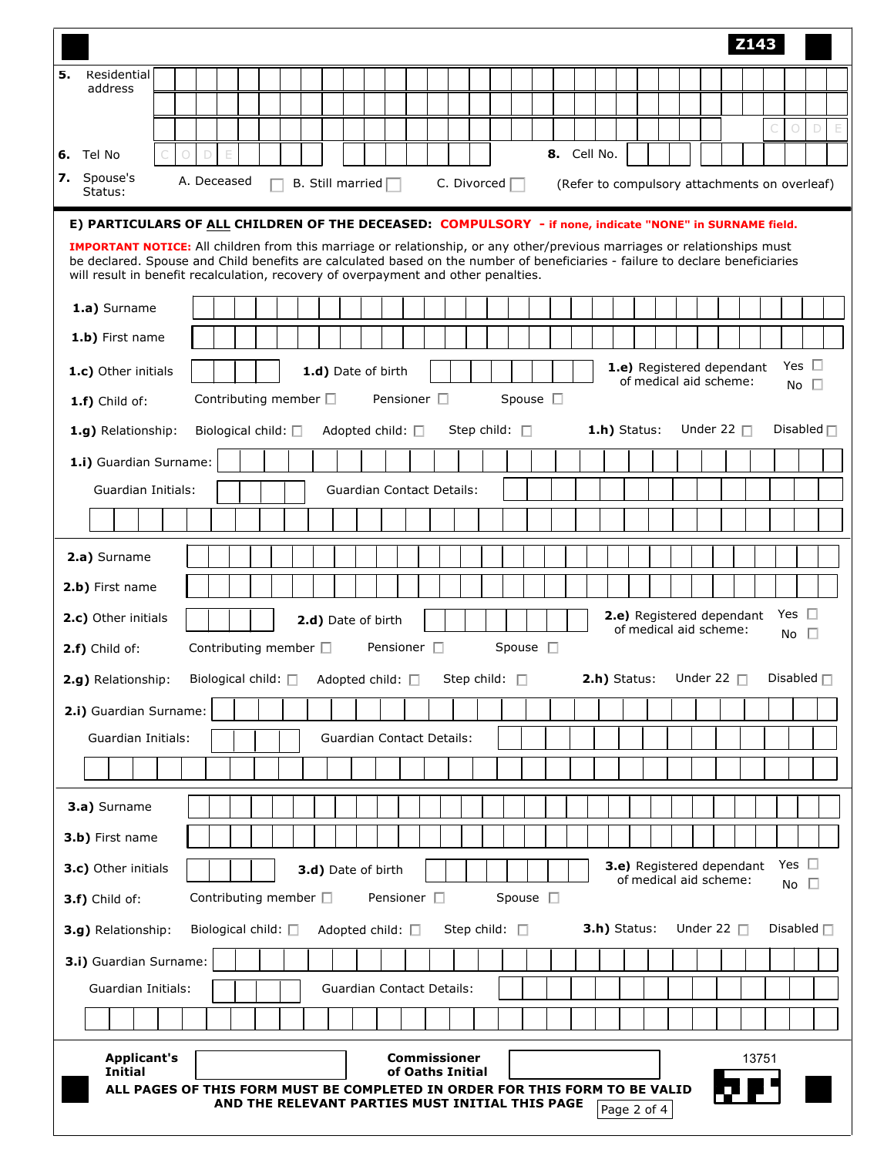|    |                                                                                                                                                                                                                                                                  |  |            |   |                  |  |  |                               |  |  |                          |  |                     |                                  |  |                                                                   |  |             |  |                |                                                     |  |                 | Z143  |                 |                            |                                                      |
|----|------------------------------------------------------------------------------------------------------------------------------------------------------------------------------------------------------------------------------------------------------------------|--|------------|---|------------------|--|--|-------------------------------|--|--|--------------------------|--|---------------------|----------------------------------|--|-------------------------------------------------------------------|--|-------------|--|----------------|-----------------------------------------------------|--|-----------------|-------|-----------------|----------------------------|------------------------------------------------------|
| 5. | Residential<br>address                                                                                                                                                                                                                                           |  |            |   |                  |  |  |                               |  |  |                          |  |                     |                                  |  |                                                                   |  |             |  |                |                                                     |  |                 |       |                 |                            |                                                      |
|    |                                                                                                                                                                                                                                                                  |  |            |   |                  |  |  |                               |  |  |                          |  |                     |                                  |  |                                                                   |  |             |  |                |                                                     |  |                 |       |                 |                            |                                                      |
|    |                                                                                                                                                                                                                                                                  |  |            |   |                  |  |  |                               |  |  |                          |  |                     |                                  |  |                                                                   |  |             |  |                |                                                     |  |                 |       |                 | $\Box$<br>$\circ$          | $\mathsf{E}% _{\mathsf{M}}^{\mathsf{H}}(\mathsf{M})$ |
|    | 6. Tel No<br>7. Spouse's                                                                                                                                                                                                                                         |  | $\bigcirc$ | D | E<br>A. Deceased |  |  |                               |  |  |                          |  |                     |                                  |  |                                                                   |  | 8. Cell No. |  |                |                                                     |  |                 |       |                 |                            |                                                      |
|    | Status:                                                                                                                                                                                                                                                          |  |            |   |                  |  |  |                               |  |  | B. Still married $\Box$  |  |                     |                                  |  | C. Divorced $\Box$                                                |  |             |  |                | (Refer to compulsory attachments on overleaf)       |  |                 |       |                 |                            |                                                      |
|    | E) PARTICULARS OF ALL CHILDREN OF THE DECEASED: COMPULSORY - if none, indicate "NONE" in SURNAME field.                                                                                                                                                          |  |            |   |                  |  |  |                               |  |  |                          |  |                     |                                  |  |                                                                   |  |             |  |                |                                                     |  |                 |       |                 |                            |                                                      |
|    | <b>IMPORTANT NOTICE:</b> All children from this marriage or relationship, or any other/previous marriages or relationships must<br>be declared. Spouse and Child benefits are calculated based on the number of beneficiaries - failure to declare beneficiaries |  |            |   |                  |  |  |                               |  |  |                          |  |                     |                                  |  |                                                                   |  |             |  |                |                                                     |  |                 |       |                 |                            |                                                      |
|    | will result in benefit recalculation, recovery of overpayment and other penalties.                                                                                                                                                                               |  |            |   |                  |  |  |                               |  |  |                          |  |                     |                                  |  |                                                                   |  |             |  |                |                                                     |  |                 |       |                 |                            |                                                      |
|    | 1.a) Surname                                                                                                                                                                                                                                                     |  |            |   |                  |  |  |                               |  |  |                          |  |                     |                                  |  |                                                                   |  |             |  |                |                                                     |  |                 |       |                 |                            |                                                      |
|    | 1.b) First name                                                                                                                                                                                                                                                  |  |            |   |                  |  |  |                               |  |  |                          |  |                     |                                  |  |                                                                   |  |             |  |                |                                                     |  |                 |       |                 |                            |                                                      |
|    | 1.c) Other initials                                                                                                                                                                                                                                              |  |            |   |                  |  |  |                               |  |  | 1.d) Date of birth       |  |                     |                                  |  |                                                                   |  |             |  |                | 1.e) Registered dependant<br>of medical aid scheme: |  |                 |       |                 | Yes $\square$<br>No $\Box$ |                                                      |
|    | Pensioner $\square$<br>Spouse $\square$<br>Contributing member $\Box$<br>1.f) Child of:<br>Step child: $\Box$<br>$1.h$ ) Status:<br>Under 22 $\Box$<br>Biological child: $\square$<br>Adopted child: $\square$                                                   |  |            |   |                  |  |  |                               |  |  |                          |  |                     |                                  |  |                                                                   |  |             |  |                |                                                     |  |                 |       |                 |                            |                                                      |
|    | 1.g) Relationship:                                                                                                                                                                                                                                               |  |            |   |                  |  |  |                               |  |  |                          |  |                     |                                  |  |                                                                   |  |             |  |                |                                                     |  |                 |       |                 | Disabled $\Box$            |                                                      |
|    | 1.i) Guardian Surname:                                                                                                                                                                                                                                           |  |            |   |                  |  |  |                               |  |  |                          |  |                     |                                  |  |                                                                   |  |             |  |                |                                                     |  |                 |       |                 |                            |                                                      |
|    | Guardian Initials:                                                                                                                                                                                                                                               |  |            |   |                  |  |  |                               |  |  |                          |  |                     | <b>Guardian Contact Details:</b> |  |                                                                   |  |             |  |                |                                                     |  |                 |       |                 |                            |                                                      |
|    |                                                                                                                                                                                                                                                                  |  |            |   |                  |  |  |                               |  |  |                          |  |                     |                                  |  |                                                                   |  |             |  |                |                                                     |  |                 |       |                 |                            |                                                      |
|    | 2.a) Surname                                                                                                                                                                                                                                                     |  |            |   |                  |  |  |                               |  |  |                          |  |                     |                                  |  |                                                                   |  |             |  |                |                                                     |  |                 |       |                 |                            |                                                      |
|    | 2.b) First name                                                                                                                                                                                                                                                  |  |            |   |                  |  |  |                               |  |  |                          |  |                     |                                  |  |                                                                   |  |             |  |                |                                                     |  |                 |       |                 |                            |                                                      |
|    | Yes $\square$<br>2.e) Registered dependant<br>2.c) Other initials<br>2.d) Date of birth<br>of medical aid scheme:<br>No $\square$                                                                                                                                |  |            |   |                  |  |  |                               |  |  |                          |  |                     |                                  |  |                                                                   |  |             |  |                |                                                     |  |                 |       |                 |                            |                                                      |
|    | 2.f) Child of:                                                                                                                                                                                                                                                   |  |            |   |                  |  |  | Contributing member $\square$ |  |  |                          |  | Pensioner $\square$ |                                  |  | Spouse $\square$                                                  |  |             |  |                |                                                     |  |                 |       |                 |                            |                                                      |
|    | 2.g) Relationship:                                                                                                                                                                                                                                               |  |            |   |                  |  |  |                               |  |  |                          |  |                     |                                  |  | Biological child: $\Box$ Adopted child: $\Box$ Step child: $\Box$ |  |             |  | $2.h)$ Status: |                                                     |  | Under 22 $\Box$ |       | Disabled $\Box$ |                            |                                                      |
|    | 2.i) Guardian Surname:                                                                                                                                                                                                                                           |  |            |   |                  |  |  |                               |  |  |                          |  |                     |                                  |  |                                                                   |  |             |  |                |                                                     |  |                 |       |                 |                            |                                                      |
|    | Guardian Initials:                                                                                                                                                                                                                                               |  |            |   |                  |  |  |                               |  |  |                          |  |                     | <b>Guardian Contact Details:</b> |  |                                                                   |  |             |  |                |                                                     |  |                 |       |                 |                            |                                                      |
|    |                                                                                                                                                                                                                                                                  |  |            |   |                  |  |  |                               |  |  |                          |  |                     |                                  |  |                                                                   |  |             |  |                |                                                     |  |                 |       |                 |                            |                                                      |
|    | 3.a) Surname                                                                                                                                                                                                                                                     |  |            |   |                  |  |  |                               |  |  |                          |  |                     |                                  |  |                                                                   |  |             |  |                |                                                     |  |                 |       |                 |                            |                                                      |
|    | 3.b) First name                                                                                                                                                                                                                                                  |  |            |   |                  |  |  |                               |  |  |                          |  |                     |                                  |  |                                                                   |  |             |  |                |                                                     |  |                 |       |                 |                            |                                                      |
|    | 3.c) Other initials                                                                                                                                                                                                                                              |  |            |   |                  |  |  |                               |  |  | 3.d) Date of birth       |  |                     |                                  |  |                                                                   |  |             |  |                | 3.e) Registered dependant                           |  |                 |       |                 | Yes $\square$              |                                                      |
|    | 3.f) Child of:                                                                                                                                                                                                                                                   |  |            |   |                  |  |  | Contributing member $\Box$    |  |  |                          |  | Pensioner $\square$ |                                  |  | Spouse $\square$                                                  |  |             |  |                | of medical aid scheme:                              |  |                 |       |                 | No $\square$               |                                                      |
|    | 3.g) Relationship:                                                                                                                                                                                                                                               |  |            |   |                  |  |  | Biological child: $\square$   |  |  | Adopted child: $\square$ |  |                     |                                  |  | Step child: $\Box$                                                |  |             |  | 3.h) Status:   |                                                     |  | Under 22 $\Box$ |       | Disabled $\Box$ |                            |                                                      |
|    | 3.i) Guardian Surname:                                                                                                                                                                                                                                           |  |            |   |                  |  |  |                               |  |  |                          |  |                     |                                  |  |                                                                   |  |             |  |                |                                                     |  |                 |       |                 |                            |                                                      |
|    | Guardian Initials:                                                                                                                                                                                                                                               |  |            |   |                  |  |  |                               |  |  |                          |  |                     | <b>Guardian Contact Details:</b> |  |                                                                   |  |             |  |                |                                                     |  |                 |       |                 |                            |                                                      |
|    |                                                                                                                                                                                                                                                                  |  |            |   |                  |  |  |                               |  |  |                          |  |                     |                                  |  |                                                                   |  |             |  |                |                                                     |  |                 |       |                 |                            |                                                      |
|    | <b>Applicant's</b>                                                                                                                                                                                                                                               |  |            |   |                  |  |  |                               |  |  |                          |  |                     | <b>Commissioner</b>              |  |                                                                   |  |             |  |                |                                                     |  |                 | 13751 |                 |                            |                                                      |
|    | <b>Initial</b><br>ALL PAGES OF THIS FORM MUST BE COMPLETED IN ORDER FOR THIS FORM TO BE VALID                                                                                                                                                                    |  |            |   |                  |  |  |                               |  |  |                          |  |                     | of Oaths Initial                 |  |                                                                   |  |             |  |                |                                                     |  |                 |       |                 |                            |                                                      |
|    |                                                                                                                                                                                                                                                                  |  |            |   |                  |  |  |                               |  |  |                          |  |                     |                                  |  | AND THE RELEVANT PARTIES MUST INITIAL THIS PAGE                   |  |             |  | Page 2 of 4    |                                                     |  |                 |       |                 |                            |                                                      |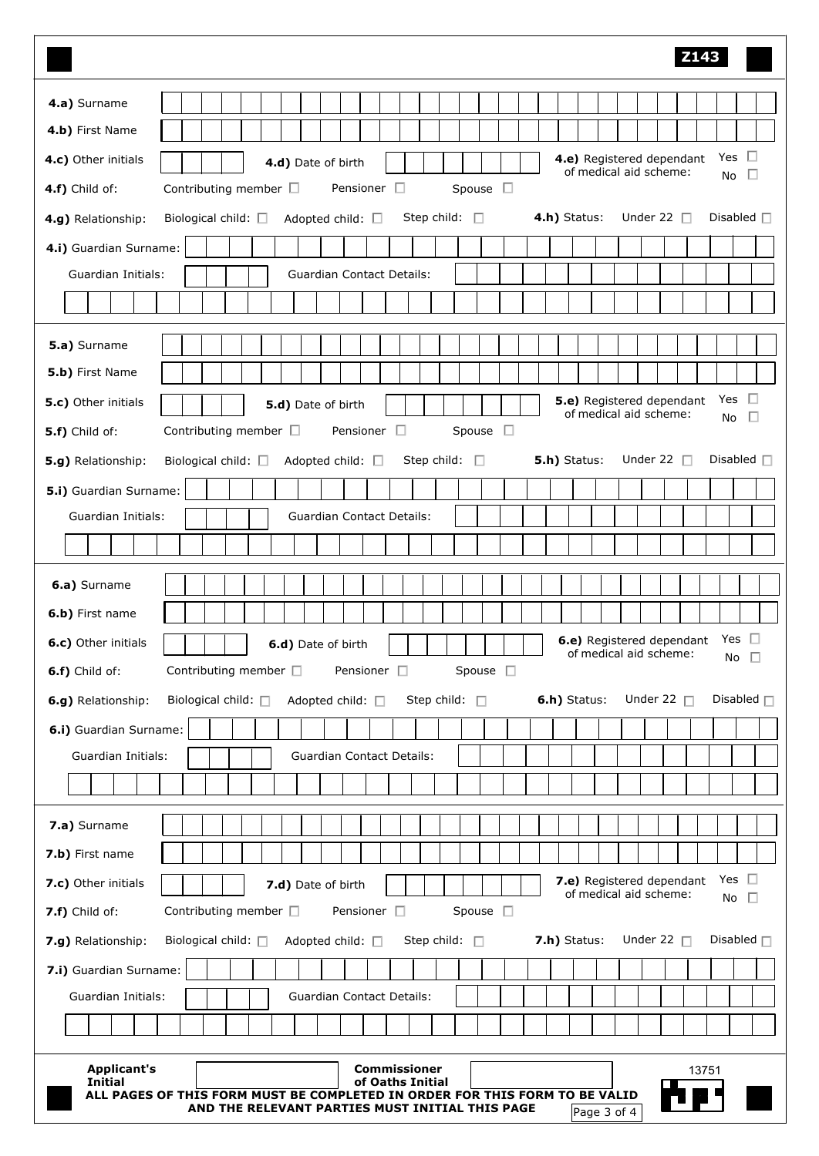| <b>Z143</b>                                                                                                                                                     |
|-----------------------------------------------------------------------------------------------------------------------------------------------------------------|
| 4.a) Surname                                                                                                                                                    |
| 4.b) First Name                                                                                                                                                 |
| -0<br>Yes<br>4.e) Registered dependant<br>4.c) Other initials<br>4.d) Date of birth                                                                             |
| of medical aid scheme:<br>$\Box$<br><b>No</b><br>Spouse $\square$<br>Contributing member $\square$<br>Pensioner $\square$<br>4.f) Child of:                     |
| Under 22 $\Box$<br>Disabled $\square$<br>Step child: $\square$<br>4.h) Status:<br>4.g) Relationship:<br>Biological child: $\square$<br>Adopted child: $\square$ |
| 4.i) Guardian Surname:                                                                                                                                          |
| Guardian Initials:<br><b>Guardian Contact Details:</b>                                                                                                          |
|                                                                                                                                                                 |
|                                                                                                                                                                 |
| 5.a) Surname                                                                                                                                                    |
| 5.b) First Name                                                                                                                                                 |
| Yes $\square$<br>5.e) Registered dependant<br>5.c) Other initials<br>5.d) Date of birth<br>of medical aid scheme:<br>Ð<br>No                                    |
| Spouse $\square$<br>Pensioner $\square$<br>Contributing member $\Box$<br>5.f) Child of:                                                                         |
| 5.h) Status:<br>Under 22 $\Box$<br>Disabled $\Box$<br>5.g) Relationship:<br>Biological child: $\square$<br>Adopted child: $\square$<br>Step child: $\square$    |
| 5.i) Guardian Surname:                                                                                                                                          |
| Guardian Initials:<br><b>Guardian Contact Details:</b>                                                                                                          |
|                                                                                                                                                                 |
| 6.a) Surname                                                                                                                                                    |
| 6.b) First name                                                                                                                                                 |
| 6.e) Registered dependant Yes<br>6.c) Other initials<br>6.d) Date of birth                                                                                      |
| of medical aid scheme:<br>No $\square$<br>Spouse $\square$<br>Contributing member $\square$<br>Pensioner $\square$<br>6.f) Child of:                            |
| 6.h) Status:<br>Disabled $\Box$<br>Step child: $\square$<br>Under 22 $\Box$<br>6.g) Relationship:<br>Biological child: □<br>Adopted child: □                    |
| 6.i) Guardian Surname:                                                                                                                                          |
| Guardian Initials:<br><b>Guardian Contact Details:</b>                                                                                                          |
|                                                                                                                                                                 |
|                                                                                                                                                                 |
| 7.a) Surname                                                                                                                                                    |
| 7.b) First name                                                                                                                                                 |
| Yes $\square$<br>7.e) Registered dependant<br>7.c) Other initials<br>7.d) Date of birth<br>of medical aid scheme:<br>No $\square$                               |
| Spouse $\square$<br>Pensioner <sup>[]</sup><br>Contributing member □<br>7.f) Child of:                                                                          |
| Under 22 $\Box$<br>Disabled $\Box$<br>Step child: $\Box$<br>7.h) Status:<br>7.g) Relationship:<br>Biological child: $\square$<br>Adopted child: □               |
| 7.i) Guardian Surname:                                                                                                                                          |
| <b>Guardian Contact Details:</b><br>Guardian Initials:                                                                                                          |
|                                                                                                                                                                 |
| <b>Commissioner</b><br><b>Applicant's</b><br>13751                                                                                                              |
| <b>Initial</b><br>of Oaths Initial<br>ALL PAGES OF THIS FORM MUST BE COMPLETED IN ORDER FOR THIS FORM TO BE VALID                                               |
| AND THE RELEVANT PARTIES MUST INITIAL THIS PAGE<br>Page 3 of 4                                                                                                  |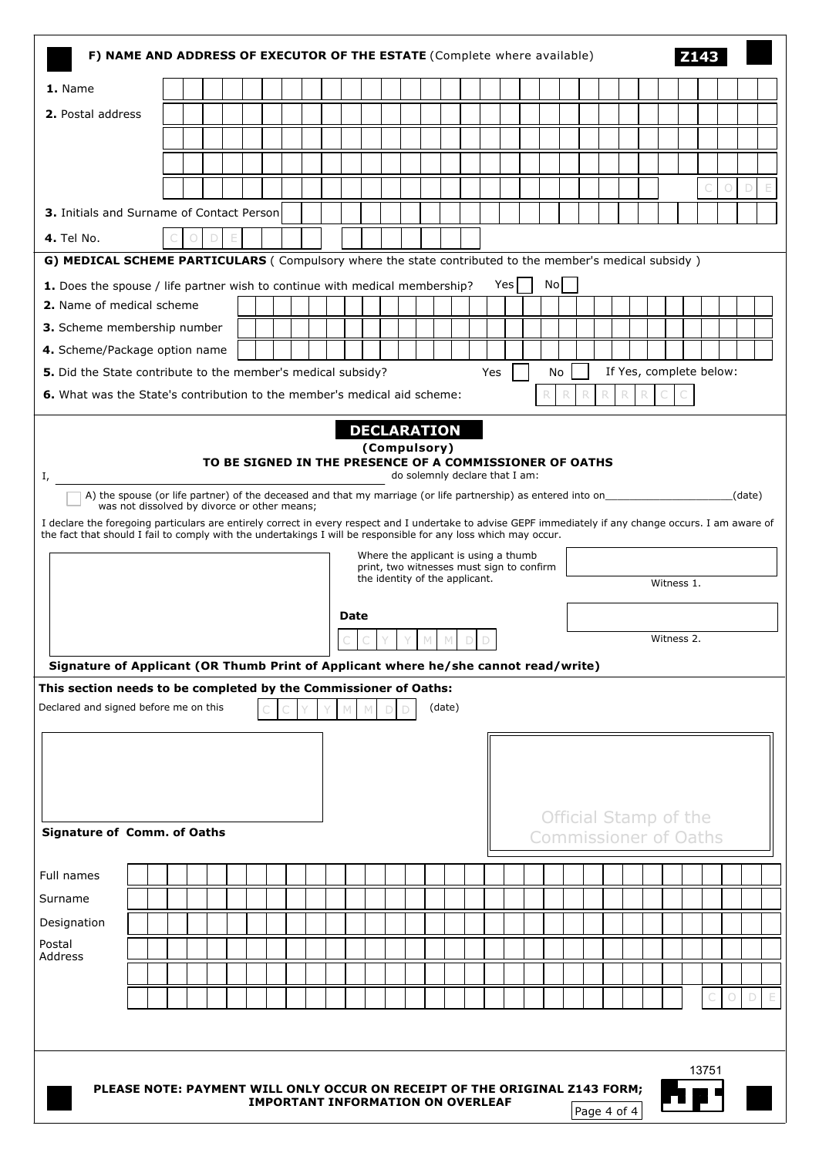|                                                                                                                                                                                                                                                                             | F) NAME AND ADDRESS OF EXECUTOR OF THE ESTATE (Complete where available)                                                                                                                                   |  |  |  |  |  |                                          |  |  |  |  |  |  |                                      |        |  |     |    |  |             |  |            |       |   |        |
|-----------------------------------------------------------------------------------------------------------------------------------------------------------------------------------------------------------------------------------------------------------------------------|------------------------------------------------------------------------------------------------------------------------------------------------------------------------------------------------------------|--|--|--|--|--|------------------------------------------|--|--|--|--|--|--|--------------------------------------|--------|--|-----|----|--|-------------|--|------------|-------|---|--------|
| 1. Name                                                                                                                                                                                                                                                                     |                                                                                                                                                                                                            |  |  |  |  |  |                                          |  |  |  |  |  |  |                                      |        |  |     |    |  |             |  |            |       |   |        |
| 2. Postal address                                                                                                                                                                                                                                                           |                                                                                                                                                                                                            |  |  |  |  |  |                                          |  |  |  |  |  |  |                                      |        |  |     |    |  |             |  |            |       |   |        |
|                                                                                                                                                                                                                                                                             |                                                                                                                                                                                                            |  |  |  |  |  |                                          |  |  |  |  |  |  |                                      |        |  |     |    |  |             |  |            |       |   |        |
|                                                                                                                                                                                                                                                                             |                                                                                                                                                                                                            |  |  |  |  |  |                                          |  |  |  |  |  |  |                                      |        |  |     |    |  |             |  |            |       |   |        |
|                                                                                                                                                                                                                                                                             |                                                                                                                                                                                                            |  |  |  |  |  |                                          |  |  |  |  |  |  |                                      |        |  |     |    |  |             |  |            |       | 0 | D      |
| 3. Initials and Surname of Contact Person                                                                                                                                                                                                                                   |                                                                                                                                                                                                            |  |  |  |  |  |                                          |  |  |  |  |  |  |                                      |        |  |     |    |  |             |  |            |       |   |        |
| <b>4.</b> Tel No.                                                                                                                                                                                                                                                           |                                                                                                                                                                                                            |  |  |  |  |  |                                          |  |  |  |  |  |  |                                      |        |  |     |    |  |             |  |            |       |   |        |
| G) MEDICAL SCHEME PARTICULARS (Compulsory where the state contributed to the member's medical subsidy)                                                                                                                                                                      |                                                                                                                                                                                                            |  |  |  |  |  |                                          |  |  |  |  |  |  |                                      |        |  |     |    |  |             |  |            |       |   |        |
| 1. Does the spouse / life partner wish to continue with medical membership?                                                                                                                                                                                                 |                                                                                                                                                                                                            |  |  |  |  |  |                                          |  |  |  |  |  |  |                                      |        |  | Yes | No |  |             |  |            |       |   |        |
| 2. Name of medical scheme                                                                                                                                                                                                                                                   |                                                                                                                                                                                                            |  |  |  |  |  |                                          |  |  |  |  |  |  |                                      |        |  |     |    |  |             |  |            |       |   |        |
| 3. Scheme membership number                                                                                                                                                                                                                                                 |                                                                                                                                                                                                            |  |  |  |  |  |                                          |  |  |  |  |  |  |                                      |        |  |     |    |  |             |  |            |       |   |        |
| 4. Scheme/Package option name                                                                                                                                                                                                                                               |                                                                                                                                                                                                            |  |  |  |  |  |                                          |  |  |  |  |  |  |                                      |        |  |     |    |  |             |  |            |       |   |        |
|                                                                                                                                                                                                                                                                             | If Yes, complete below:<br>5. Did the State contribute to the member's medical subsidy?<br>Yes<br>No                                                                                                       |  |  |  |  |  |                                          |  |  |  |  |  |  |                                      |        |  |     |    |  |             |  |            |       |   |        |
| 6. What was the State's contribution to the member's medical aid scheme:<br>R<br>R                                                                                                                                                                                          |                                                                                                                                                                                                            |  |  |  |  |  |                                          |  |  |  |  |  |  |                                      |        |  |     |    |  |             |  |            |       |   |        |
|                                                                                                                                                                                                                                                                             | <b>DECLARATION</b><br>(Compulsory)                                                                                                                                                                         |  |  |  |  |  |                                          |  |  |  |  |  |  |                                      |        |  |     |    |  |             |  |            |       |   |        |
|                                                                                                                                                                                                                                                                             |                                                                                                                                                                                                            |  |  |  |  |  |                                          |  |  |  |  |  |  |                                      |        |  |     |    |  |             |  |            |       |   |        |
| I,                                                                                                                                                                                                                                                                          | TO BE SIGNED IN THE PRESENCE OF A COMMISSIONER OF OATHS<br>do solemnly declare that I am:<br>A) the spouse (or life partner) of the deceased and that my marriage (or life partnership) as entered into on |  |  |  |  |  |                                          |  |  |  |  |  |  |                                      |        |  |     |    |  |             |  |            |       |   |        |
| was not dissolved by divorce or other means;                                                                                                                                                                                                                                |                                                                                                                                                                                                            |  |  |  |  |  |                                          |  |  |  |  |  |  |                                      |        |  |     |    |  |             |  |            |       |   | (date) |
| I declare the foregoing particulars are entirely correct in every respect and I undertake to advise GEPF immediately if any change occurs. I am aware of<br>the fact that should I fail to comply with the undertakings I will be responsible for any loss which may occur. |                                                                                                                                                                                                            |  |  |  |  |  |                                          |  |  |  |  |  |  |                                      |        |  |     |    |  |             |  |            |       |   |        |
|                                                                                                                                                                                                                                                                             |                                                                                                                                                                                                            |  |  |  |  |  |                                          |  |  |  |  |  |  | Where the applicant is using a thumb |        |  |     |    |  |             |  |            |       |   |        |
|                                                                                                                                                                                                                                                                             | print, two witnesses must sign to confirm<br>the identity of the applicant.<br>Witness 1.                                                                                                                  |  |  |  |  |  |                                          |  |  |  |  |  |  |                                      |        |  |     |    |  |             |  |            |       |   |        |
|                                                                                                                                                                                                                                                                             |                                                                                                                                                                                                            |  |  |  |  |  |                                          |  |  |  |  |  |  |                                      |        |  |     |    |  |             |  |            |       |   |        |
|                                                                                                                                                                                                                                                                             | Date                                                                                                                                                                                                       |  |  |  |  |  |                                          |  |  |  |  |  |  |                                      |        |  |     |    |  |             |  |            |       |   |        |
|                                                                                                                                                                                                                                                                             |                                                                                                                                                                                                            |  |  |  |  |  |                                          |  |  |  |  |  |  |                                      |        |  |     |    |  |             |  | Witness 2. |       |   |        |
| Signature of Applicant (OR Thumb Print of Applicant where he/she cannot read/write)                                                                                                                                                                                         |                                                                                                                                                                                                            |  |  |  |  |  |                                          |  |  |  |  |  |  |                                      |        |  |     |    |  |             |  |            |       |   |        |
| This section needs to be completed by the Commissioner of Oaths:                                                                                                                                                                                                            |                                                                                                                                                                                                            |  |  |  |  |  |                                          |  |  |  |  |  |  |                                      |        |  |     |    |  |             |  |            |       |   |        |
| Declared and signed before me on this                                                                                                                                                                                                                                       |                                                                                                                                                                                                            |  |  |  |  |  |                                          |  |  |  |  |  |  |                                      | (date) |  |     |    |  |             |  |            |       |   |        |
|                                                                                                                                                                                                                                                                             |                                                                                                                                                                                                            |  |  |  |  |  |                                          |  |  |  |  |  |  |                                      |        |  |     |    |  |             |  |            |       |   |        |
|                                                                                                                                                                                                                                                                             |                                                                                                                                                                                                            |  |  |  |  |  |                                          |  |  |  |  |  |  |                                      |        |  |     |    |  |             |  |            |       |   |        |
|                                                                                                                                                                                                                                                                             |                                                                                                                                                                                                            |  |  |  |  |  |                                          |  |  |  |  |  |  |                                      |        |  |     |    |  |             |  |            |       |   |        |
|                                                                                                                                                                                                                                                                             |                                                                                                                                                                                                            |  |  |  |  |  |                                          |  |  |  |  |  |  |                                      |        |  |     |    |  |             |  |            |       |   |        |
| <b>Official Stamp of the</b><br><b>Signature of Comm. of Oaths</b><br><b>Commissioner of Oaths</b>                                                                                                                                                                          |                                                                                                                                                                                                            |  |  |  |  |  |                                          |  |  |  |  |  |  |                                      |        |  |     |    |  |             |  |            |       |   |        |
|                                                                                                                                                                                                                                                                             |                                                                                                                                                                                                            |  |  |  |  |  |                                          |  |  |  |  |  |  |                                      |        |  |     |    |  |             |  |            |       |   |        |
|                                                                                                                                                                                                                                                                             |                                                                                                                                                                                                            |  |  |  |  |  |                                          |  |  |  |  |  |  |                                      |        |  |     |    |  |             |  |            |       |   |        |
| Full names                                                                                                                                                                                                                                                                  |                                                                                                                                                                                                            |  |  |  |  |  |                                          |  |  |  |  |  |  |                                      |        |  |     |    |  |             |  |            |       |   |        |
| Surname                                                                                                                                                                                                                                                                     |                                                                                                                                                                                                            |  |  |  |  |  |                                          |  |  |  |  |  |  |                                      |        |  |     |    |  |             |  |            |       |   |        |
| Designation                                                                                                                                                                                                                                                                 |                                                                                                                                                                                                            |  |  |  |  |  |                                          |  |  |  |  |  |  |                                      |        |  |     |    |  |             |  |            |       |   |        |
| Postal<br>Address                                                                                                                                                                                                                                                           |                                                                                                                                                                                                            |  |  |  |  |  |                                          |  |  |  |  |  |  |                                      |        |  |     |    |  |             |  |            |       |   |        |
|                                                                                                                                                                                                                                                                             |                                                                                                                                                                                                            |  |  |  |  |  |                                          |  |  |  |  |  |  |                                      |        |  |     |    |  |             |  |            |       |   |        |
|                                                                                                                                                                                                                                                                             |                                                                                                                                                                                                            |  |  |  |  |  |                                          |  |  |  |  |  |  |                                      |        |  |     |    |  |             |  |            |       |   |        |
|                                                                                                                                                                                                                                                                             |                                                                                                                                                                                                            |  |  |  |  |  |                                          |  |  |  |  |  |  |                                      |        |  |     |    |  |             |  |            |       |   |        |
|                                                                                                                                                                                                                                                                             |                                                                                                                                                                                                            |  |  |  |  |  |                                          |  |  |  |  |  |  |                                      |        |  |     |    |  |             |  |            |       |   |        |
|                                                                                                                                                                                                                                                                             |                                                                                                                                                                                                            |  |  |  |  |  |                                          |  |  |  |  |  |  |                                      |        |  |     |    |  |             |  |            | 13751 |   |        |
| PLEASE NOTE: PAYMENT WILL ONLY OCCUR ON RECEIPT OF THE ORIGINAL Z143 FORM;                                                                                                                                                                                                  |                                                                                                                                                                                                            |  |  |  |  |  | <b>IMPORTANT INFORMATION ON OVERLEAF</b> |  |  |  |  |  |  |                                      |        |  |     |    |  | Page 4 of 4 |  |            |       |   |        |